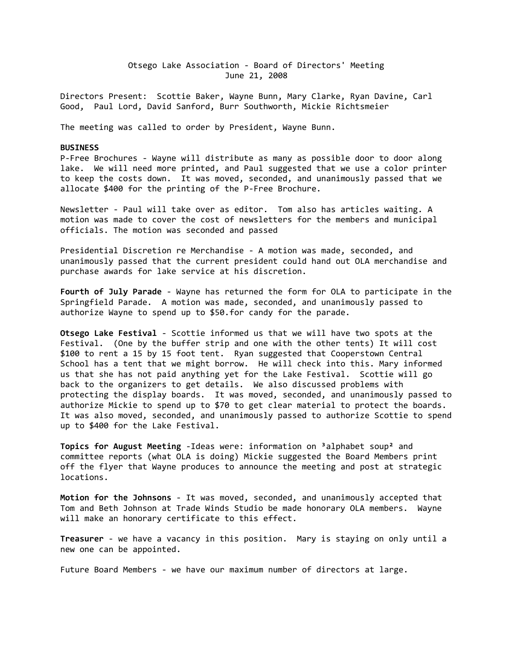Otsego Lake Association - Board of Directors' Meeting June 21, 2008

Directors Present: Scottie Baker, Wayne Bunn, Mary Clarke, Ryan Davine, Carl Good, Paul Lord, David Sanford, Burr Southworth, Mickie Richtsmeier

The meeting was called to order by President, Wayne Bunn.

## **BUSINESS**

P-Free Brochures - Wayne will distribute as many as possible door to door along lake. We will need more printed, and Paul suggested that we use a color printer to keep the costs down. It was moved, seconded, and unanimously passed that we allocate \$400 for the printing of the P-Free Brochure.

Newsletter - Paul will take over as editor. Tom also has articles waiting. A motion was made to cover the cost of newsletters for the members and municipal officials. The motion was seconded and passed

Presidential Discretion re Merchandise - A motion was made, seconded, and unanimously passed that the current president could hand out OLA merchandise and purchase awards for lake service at his discretion.

**Fourth of July Parade** - Wayne has returned the form for OLA to participate in the Springfield Parade. A motion was made, seconded, and unanimously passed to authorize Wayne to spend up to \$50.for candy for the parade.

**Otsego Lake Festival** - Scottie informed us that we will have two spots at the Festival. (One by the buffer strip and one with the other tents) It will cost \$100 to rent a 15 by 15 foot tent. Ryan suggested that Cooperstown Central School has a tent that we might borrow. He will check into this. Mary informed us that she has not paid anything yet for the Lake Festival. Scottie will go back to the organizers to get details. We also discussed problems with protecting the display boards. It was moved, seconded, and unanimously passed to authorize Mickie to spend up to \$70 to get clear material to protect the boards. It was also moved, seconded, and unanimously passed to authorize Scottie to spend up to \$400 for the Lake Festival.

**Topics for August Meeting** -Ideas were: information on ³alphabet soup² and committee reports (what OLA is doing) Mickie suggested the Board Members print off the flyer that Wayne produces to announce the meeting and post at strategic locations.

**Motion for the Johnsons** - It was moved, seconded, and unanimously accepted that Tom and Beth Johnson at Trade Winds Studio be made honorary OLA members. Wayne will make an honorary certificate to this effect.

**Treasurer** - we have a vacancy in this position. Mary is staying on only until a new one can be appointed.

Future Board Members - we have our maximum number of directors at large.